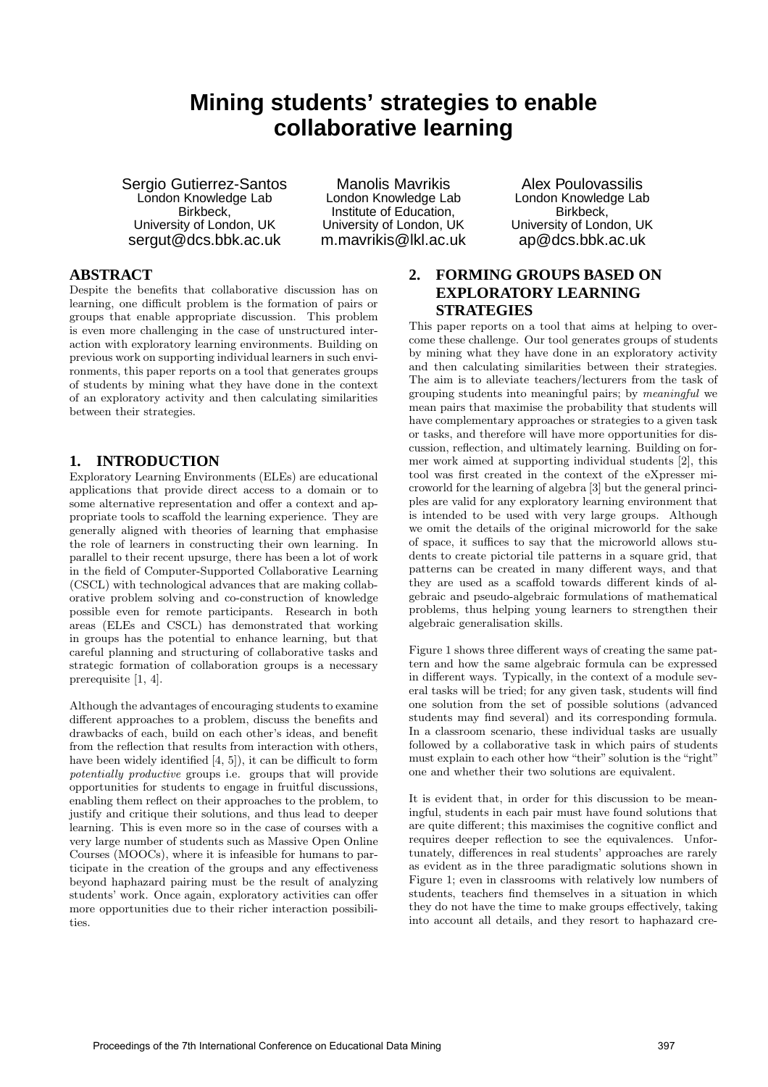# **Mining students' strategies to enable collaborative learning**

Sergio Gutierrez-Santos London Knowledge Lab Birkbeck, University of London, UK sergut@dcs.bbk.ac.uk

Manolis Mavrikis London Knowledge Lab Institute of Education, University of London, UK m.mavrikis@lkl.ac.uk

#### Alex Poulovassilis London Knowledge Lab Birkbeck, University of London, UK ap@dcs.bbk.ac.uk

### **ABSTRACT**

Despite the benefits that collaborative discussion has on learning, one difficult problem is the formation of pairs or groups that enable appropriate discussion. This problem is even more challenging in the case of unstructured interaction with exploratory learning environments. Building on previous work on supporting individual learners in such environments, this paper reports on a tool that generates groups of students by mining what they have done in the context of an exploratory activity and then calculating similarities between their strategies.

#### **1. INTRODUCTION**

Exploratory Learning Environments (ELEs) are educational applications that provide direct access to a domain or to some alternative representation and offer a context and appropriate tools to scaffold the learning experience. They are generally aligned with theories of learning that emphasise the role of learners in constructing their own learning. In parallel to their recent upsurge, there has been a lot of work in the field of Computer-Supported Collaborative Learning (CSCL) with technological advances that are making collaborative problem solving and co-construction of knowledge possible even for remote participants. Research in both areas (ELEs and CSCL) has demonstrated that working in groups has the potential to enhance learning, but that careful planning and structuring of collaborative tasks and strategic formation of collaboration groups is a necessary prerequisite [1, 4].

Although the advantages of encouraging students to examine different approaches to a problem, discuss the benefits and drawbacks of each, build on each other's ideas, and benefit from the reflection that results from interaction with others, have been widely identified [4, 5]), it can be difficult to form potentially productive groups i.e. groups that will provide opportunities for students to engage in fruitful discussions, enabling them reflect on their approaches to the problem, to justify and critique their solutions, and thus lead to deeper learning. This is even more so in the case of courses with a very large number of students such as Massive Open Online Courses (MOOCs), where it is infeasible for humans to participate in the creation of the groups and any effectiveness beyond haphazard pairing must be the result of analyzing students' work. Once again, exploratory activities can offer more opportunities due to their richer interaction possibilities.

## **2. FORMING GROUPS BASED ON EXPLORATORY LEARNING STRATEGIES**

This paper reports on a tool that aims at helping to overcome these challenge. Our tool generates groups of students by mining what they have done in an exploratory activity and then calculating similarities between their strategies. The aim is to alleviate teachers/lecturers from the task of grouping students into meaningful pairs; by meaningful we mean pairs that maximise the probability that students will have complementary approaches or strategies to a given task or tasks, and therefore will have more opportunities for discussion, reflection, and ultimately learning. Building on former work aimed at supporting individual students [2], this tool was first created in the context of the eXpresser microworld for the learning of algebra [3] but the general principles are valid for any exploratory learning environment that is intended to be used with very large groups. Although we omit the details of the original microworld for the sake of space, it suffices to say that the microworld allows students to create pictorial tile patterns in a square grid, that patterns can be created in many different ways, and that they are used as a scaffold towards different kinds of algebraic and pseudo-algebraic formulations of mathematical problems, thus helping young learners to strengthen their algebraic generalisation skills.

Figure 1 shows three different ways of creating the same pattern and how the same algebraic formula can be expressed in different ways. Typically, in the context of a module several tasks will be tried; for any given task, students will find one solution from the set of possible solutions (advanced students may find several) and its corresponding formula. In a classroom scenario, these individual tasks are usually followed by a collaborative task in which pairs of students must explain to each other how "their" solution is the "right" one and whether their two solutions are equivalent.

It is evident that, in order for this discussion to be meaningful, students in each pair must have found solutions that are quite different; this maximises the cognitive conflict and requires deeper reflection to see the equivalences. Unfortunately, differences in real students' approaches are rarely as evident as in the three paradigmatic solutions shown in Figure 1; even in classrooms with relatively low numbers of students, teachers find themselves in a situation in which they do not have the time to make groups effectively, taking into account all details, and they resort to haphazard cre-